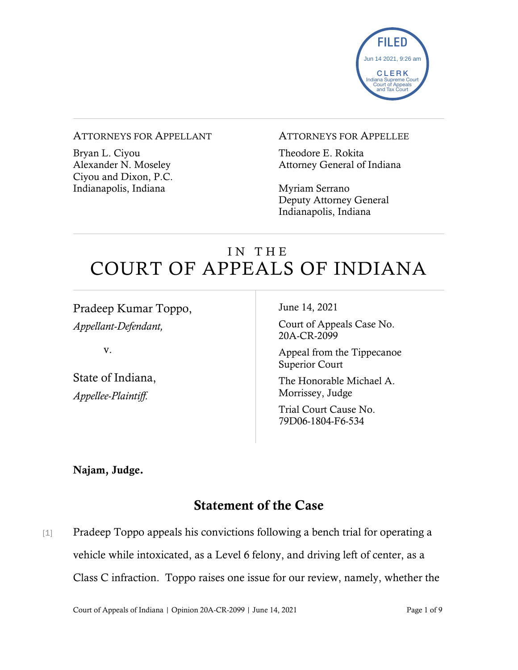

#### ATTORNEYS FOR APPELLANT

Bryan L. Ciyou Alexander N. Moseley Ciyou and Dixon, P.C. Indianapolis, Indiana

#### ATTORNEYS FOR APPELLEE

Theodore E. Rokita Attorney General of Indiana

Myriam Serrano Deputy Attorney General Indianapolis, Indiana

# IN THE COURT OF APPEALS OF INDIANA

Pradeep Kumar Toppo, *Appellant-Defendant,*

v.

State of Indiana, *Appellee-Plaintiff.*

June 14, 2021

Court of Appeals Case No. 20A-CR-2099

Appeal from the Tippecanoe Superior Court

The Honorable Michael A. Morrissey, Judge

Trial Court Cause No. 79D06-1804-F6-534

Najam, Judge.

## Statement of the Case

[1] Pradeep Toppo appeals his convictions following a bench trial for operating a vehicle while intoxicated, as a Level 6 felony, and driving left of center, as a Class C infraction. Toppo raises one issue for our review, namely, whether the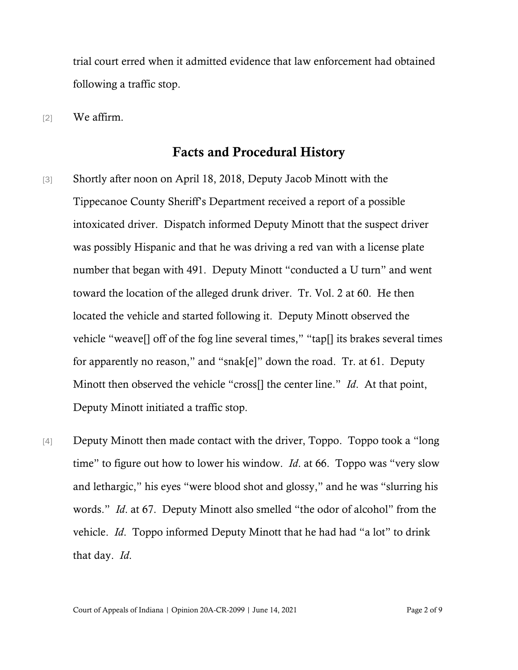trial court erred when it admitted evidence that law enforcement had obtained following a traffic stop.

[2] We affirm.

### Facts and Procedural History

- [3] Shortly after noon on April 18, 2018, Deputy Jacob Minott with the Tippecanoe County Sheriff's Department received a report of a possible intoxicated driver. Dispatch informed Deputy Minott that the suspect driver was possibly Hispanic and that he was driving a red van with a license plate number that began with 491. Deputy Minott "conducted a U turn" and went toward the location of the alleged drunk driver. Tr. Vol. 2 at 60. He then located the vehicle and started following it. Deputy Minott observed the vehicle "weave[] off of the fog line several times," "tap[] its brakes several times for apparently no reason," and "snak[e]" down the road. Tr. at 61. Deputy Minott then observed the vehicle "cross[] the center line." *Id*. At that point, Deputy Minott initiated a traffic stop.
- [4] Deputy Minott then made contact with the driver, Toppo. Toppo took a "long time" to figure out how to lower his window. *Id*. at 66. Toppo was "very slow and lethargic," his eyes "were blood shot and glossy," and he was "slurring his words." *Id*. at 67. Deputy Minott also smelled "the odor of alcohol" from the vehicle. *Id*. Toppo informed Deputy Minott that he had had "a lot" to drink that day. *Id*.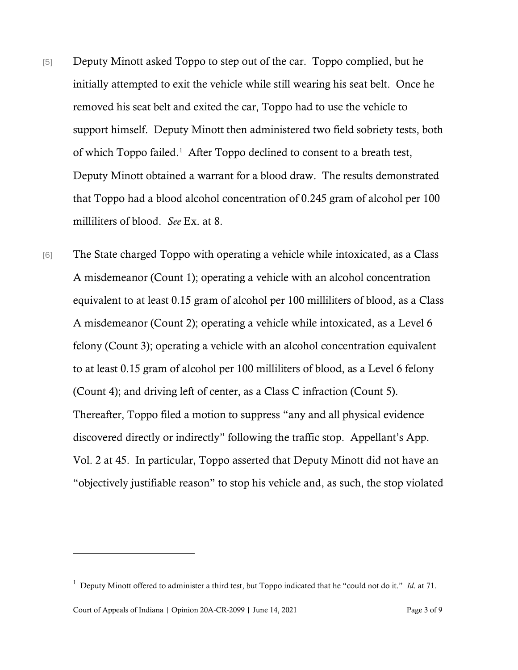- [5] Deputy Minott asked Toppo to step out of the car. Toppo complied, but he initially attempted to exit the vehicle while still wearing his seat belt. Once he removed his seat belt and exited the car, Toppo had to use the vehicle to support himself. Deputy Minott then administered two field sobriety tests, both of which Toppo failed.<sup>[1](#page-2-0)</sup> After Toppo declined to consent to a breath test, Deputy Minott obtained a warrant for a blood draw. The results demonstrated that Toppo had a blood alcohol concentration of 0.245 gram of alcohol per 100 milliliters of blood. *See* Ex. at 8.
- [6] The State charged Toppo with operating a vehicle while intoxicated, as a Class A misdemeanor (Count 1); operating a vehicle with an alcohol concentration equivalent to at least 0.15 gram of alcohol per 100 milliliters of blood, as a Class A misdemeanor (Count 2); operating a vehicle while intoxicated, as a Level 6 felony (Count 3); operating a vehicle with an alcohol concentration equivalent to at least 0.15 gram of alcohol per 100 milliliters of blood, as a Level 6 felony (Count 4); and driving left of center, as a Class C infraction (Count 5). Thereafter, Toppo filed a motion to suppress "any and all physical evidence discovered directly or indirectly" following the traffic stop. Appellant's App. Vol. 2 at 45. In particular, Toppo asserted that Deputy Minott did not have an "objectively justifiable reason" to stop his vehicle and, as such, the stop violated

<span id="page-2-0"></span><sup>1</sup> Deputy Minott offered to administer a third test, but Toppo indicated that he "could not do it." *Id*. at 71.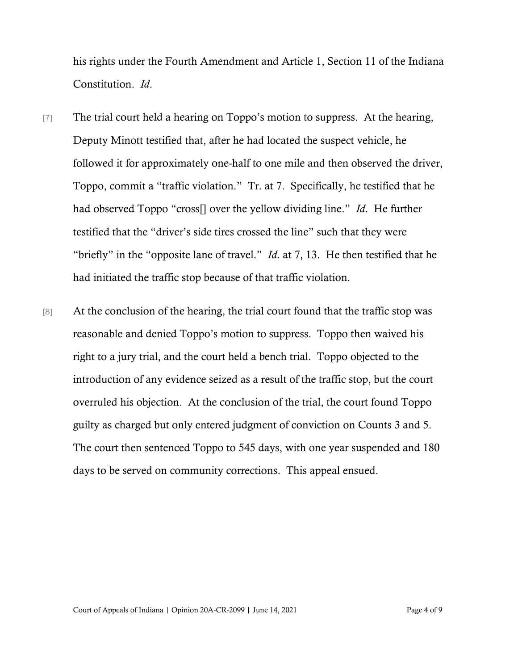his rights under the Fourth Amendment and Article 1, Section 11 of the Indiana Constitution. *Id*.

- [7] The trial court held a hearing on Toppo's motion to suppress. At the hearing, Deputy Minott testified that, after he had located the suspect vehicle, he followed it for approximately one-half to one mile and then observed the driver, Toppo, commit a "traffic violation." Tr. at 7. Specifically, he testified that he had observed Toppo "cross[] over the yellow dividing line." *Id*. He further testified that the "driver's side tires crossed the line" such that they were "briefly" in the "opposite lane of travel." *Id*. at 7, 13. He then testified that he had initiated the traffic stop because of that traffic violation.
- [8] At the conclusion of the hearing, the trial court found that the traffic stop was reasonable and denied Toppo's motion to suppress. Toppo then waived his right to a jury trial, and the court held a bench trial. Toppo objected to the introduction of any evidence seized as a result of the traffic stop, but the court overruled his objection. At the conclusion of the trial, the court found Toppo guilty as charged but only entered judgment of conviction on Counts 3 and 5. The court then sentenced Toppo to 545 days, with one year suspended and 180 days to be served on community corrections. This appeal ensued.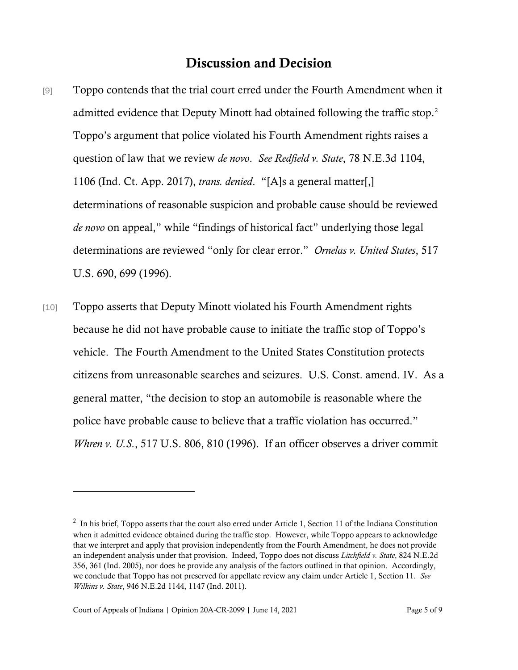### Discussion and Decision

- [9] Toppo contends that the trial court erred under the Fourth Amendment when it admitted evidence that Deputy Minott had obtained following the traffic stop.<sup>[2](#page-4-0)</sup> Toppo's argument that police violated his Fourth Amendment rights raises a question of law that we review *de novo*. *See Redfield v. State*, 78 N.E.3d 1104, 1106 (Ind. Ct. App. 2017), *trans. denied*. "[A]s a general matter[,] determinations of reasonable suspicion and probable cause should be reviewed *de novo* on appeal," while "findings of historical fact" underlying those legal determinations are reviewed "only for clear error." *Ornelas v. United States*, 517 U.S. 690, 699 (1996).
- [10] Toppo asserts that Deputy Minott violated his Fourth Amendment rights because he did not have probable cause to initiate the traffic stop of Toppo's vehicle. The Fourth Amendment to the United States Constitution protects citizens from unreasonable searches and seizures. U.S. Const. amend. IV. As a general matter, "the decision to stop an automobile is reasonable where the police have probable cause to believe that a traffic violation has occurred." *Whren v. U.S.*, 517 U.S. 806, 810 (1996). If an officer observes a driver commit

<span id="page-4-0"></span> $2\;$  In his brief, Toppo asserts that the court also erred under Article 1, Section 11 of the Indiana Constitution when it admitted evidence obtained during the traffic stop. However, while Toppo appears to acknowledge that we interpret and apply that provision independently from the Fourth Amendment, he does not provide an independent analysis under that provision. Indeed, Toppo does not discuss *Litchfield v. State*, 824 N.E.2d 356, 361 (Ind. 2005), nor does he provide any analysis of the factors outlined in that opinion. Accordingly, we conclude that Toppo has not preserved for appellate review any claim under Article 1, Section 11. *See Wilkins v. State*, 946 N.E.2d 1144, 1147 (Ind. 2011).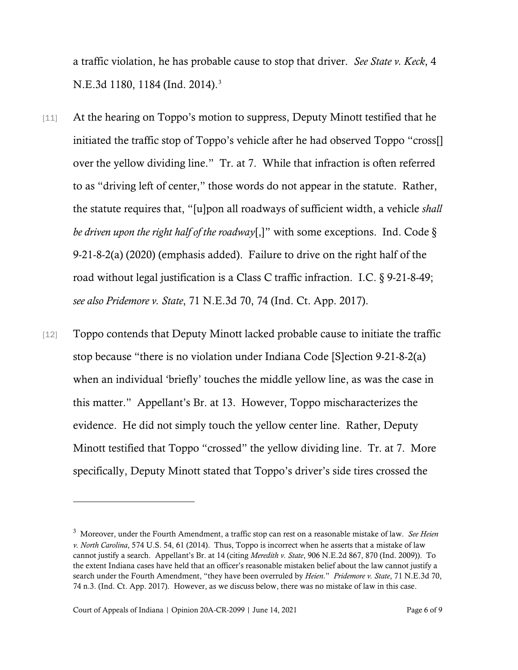a traffic violation, he has probable cause to stop that driver. *See State v. Keck*, 4 N.E.[3](#page-5-0)d 1180, 1184 (Ind. 2014).<sup>3</sup>

- [11] At the hearing on Toppo's motion to suppress, Deputy Minott testified that he initiated the traffic stop of Toppo's vehicle after he had observed Toppo "cross[] over the yellow dividing line." Tr. at 7. While that infraction is often referred to as "driving left of center," those words do not appear in the statute. Rather, the statute requires that, "[u]pon all roadways of sufficient width, a vehicle *shall be driven upon the right half of the roadway*[,]" with some exceptions. Ind. Code § 9-21-8-2(a) (2020) (emphasis added). Failure to drive on the right half of the road without legal justification is a Class C traffic infraction. I.C. § 9-21-8-49; *see also Pridemore v. State*, 71 N.E.3d 70, 74 (Ind. Ct. App. 2017).
- [12] Toppo contends that Deputy Minott lacked probable cause to initiate the traffic stop because "there is no violation under Indiana Code [S]ection 9-21-8-2(a) when an individual 'briefly' touches the middle yellow line, as was the case in this matter." Appellant's Br. at 13. However, Toppo mischaracterizes the evidence. He did not simply touch the yellow center line. Rather, Deputy Minott testified that Toppo "crossed" the yellow dividing line. Tr. at 7. More specifically, Deputy Minott stated that Toppo's driver's side tires crossed the

<span id="page-5-0"></span><sup>3</sup> Moreover, under the Fourth Amendment, a traffic stop can rest on a reasonable mistake of law. *See Heien v. North Carolina*, 574 U.S. 54, 61 (2014). Thus, Toppo is incorrect when he asserts that a mistake of law cannot justify a search. Appellant's Br. at 14 (citing *Meredith v. State*, 906 N.E.2d 867, 870 (Ind. 2009)). To the extent Indiana cases have held that an officer's reasonable mistaken belief about the law cannot justify a search under the Fourth Amendment, "they have been overruled by *Heien*." *Pridemore v. State*, 71 N.E.3d 70, 74 n.3. (Ind. Ct. App. 2017). However, as we discuss below, there was no mistake of law in this case.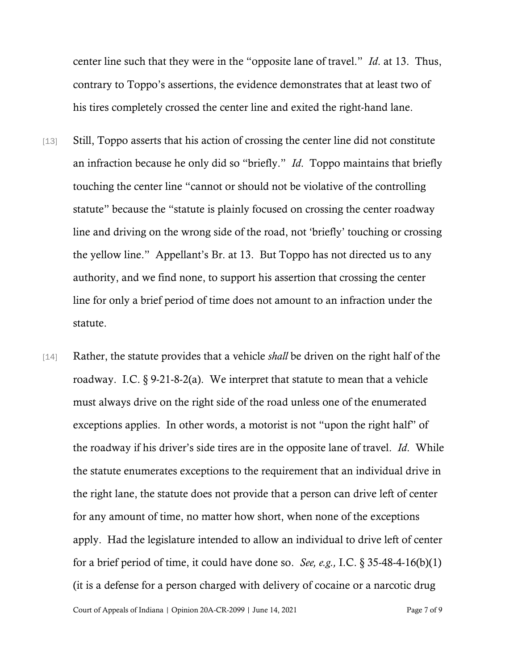center line such that they were in the "opposite lane of travel." *Id*. at 13. Thus, contrary to Toppo's assertions, the evidence demonstrates that at least two of his tires completely crossed the center line and exited the right-hand lane.

- [13] Still, Toppo asserts that his action of crossing the center line did not constitute an infraction because he only did so "briefly." *Id*. Toppo maintains that briefly touching the center line "cannot or should not be violative of the controlling statute" because the "statute is plainly focused on crossing the center roadway line and driving on the wrong side of the road, not 'briefly' touching or crossing the yellow line." Appellant's Br. at 13. But Toppo has not directed us to any authority, and we find none, to support his assertion that crossing the center line for only a brief period of time does not amount to an infraction under the statute.
- [14] Rather, the statute provides that a vehicle *shall* be driven on the right half of the roadway. I.C. § 9-21-8-2(a). We interpret that statute to mean that a vehicle must always drive on the right side of the road unless one of the enumerated exceptions applies. In other words, a motorist is not "upon the right half" of the roadway if his driver's side tires are in the opposite lane of travel. *Id*. While the statute enumerates exceptions to the requirement that an individual drive in the right lane, the statute does not provide that a person can drive left of center for any amount of time, no matter how short, when none of the exceptions apply. Had the legislature intended to allow an individual to drive left of center for a brief period of time, it could have done so. *See, e.g.,* I.C. § 35-48-4-16(b)(1) (it is a defense for a person charged with delivery of cocaine or a narcotic drug

Court of Appeals of Indiana | Opinion 20A-CR-2099 | June 14, 2021 Page 7 of 9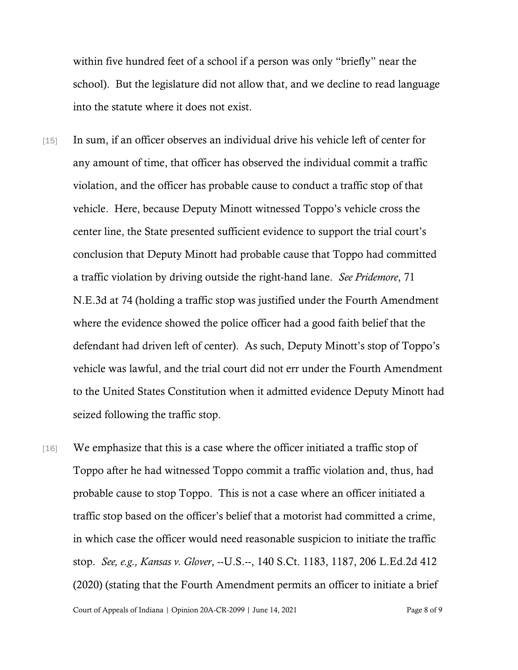within five hundred feet of a school if a person was only "briefly" near the school). But the legislature did not allow that, and we decline to read language into the statute where it does not exist.

- [15] In sum, if an officer observes an individual drive his vehicle left of center for any amount of time, that officer has observed the individual commit a traffic violation, and the officer has probable cause to conduct a traffic stop of that vehicle. Here, because Deputy Minott witnessed Toppo's vehicle cross the center line, the State presented sufficient evidence to support the trial court's conclusion that Deputy Minott had probable cause that Toppo had committed a traffic violation by driving outside the right-hand lane. *See Pridemore*, 71 N.E.3d at 74 (holding a traffic stop was justified under the Fourth Amendment where the evidence showed the police officer had a good faith belief that the defendant had driven left of center). As such, Deputy Minott's stop of Toppo's vehicle was lawful, and the trial court did not err under the Fourth Amendment to the United States Constitution when it admitted evidence Deputy Minott had seized following the traffic stop.
- [16] We emphasize that this is a case where the officer initiated a traffic stop of Toppo after he had witnessed Toppo commit a traffic violation and, thus, had probable cause to stop Toppo. This is not a case where an officer initiated a traffic stop based on the officer's belief that a motorist had committed a crime, in which case the officer would need reasonable suspicion to initiate the traffic stop. *See, e.g., Kansas v. Glover*, --U.S.--, 140 S.Ct. 1183, 1187, 206 L.Ed.2d 412 (2020) (stating that the Fourth Amendment permits an officer to initiate a brief

Court of Appeals of Indiana | Opinion 20A-CR-2099 | June 14, 2021 Page 8 of 9